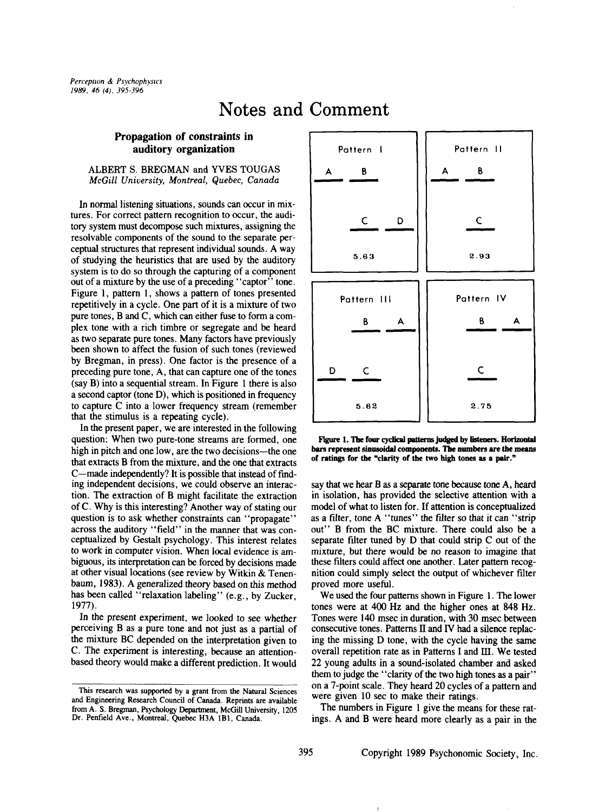## **Notes and Comment**

## **Propagation of constraints in auditory organization**

ALBERT S. BREGMAN and YVES TOUGAS *McGill University, Montreal, Quebec, Canada*

In normal listening situations, sounds can occur in mixtures. For correct pattern recognition to occur, the auditory system must decompose such mixtures, assigning the resolvable components of the sound to the separate perceptual structures that represent individual sounds. A way of studying the heuristics that are used by the auditory system is to do so through the capturing of a component out of a mixture by the use of a preceding "captor" tone. Figure 1, pattern 1, shows a pattern of tones presented repetitively in a cycle. One part of it is a mixture of two pure tones, B and C, which can either fuse to form a complex tone with a rich timbre or segregate and be heard as two separate pure tones. Many factors have previously been shown to affect the fusion of such tones (reviewed by Bregman, in press). One factor is the presence of a preceding pure tone, A, that can capture one of the tones (say B) into a sequential stream. In Figure 1 there is also a second captor (tone D), which is positioned in frequency to capture C into a lower frequency stream (remember that the stimulus is a repeating cycle).

In the present paper, we are interested in the following question: When two pure-tone streams are formed, one high in pitch and one low, are the two decisions--the one that extracts B from the mixture, and the one that extracts C-made independently? It is possible that instead of finding independent decisions, we could observe an interaction. The extraction of B might facilitate the extraction of C. Why is this interesting? Another way of stating our question is to ask whether constraints can "propagate" across the auditory "field" in the manner that was conceptualized by Gestalt psychology. This interest relates to work in computer vision. When local evidence is ambiguous, its interpretation can be forced by decisions made at other visual locations (see review by Witkin & Tenenbaum, 1983). A generalized theory based on this method has been called "relaxation labeling" (e.g., by Zucker, 1977).

In the present experiment, we looked to see whether perceiving B as a pure tone and not just as a partial of the mixture BC depended on the interpretation given to C. The experiment is interesting, because an attentionbased theory would make a different prediction. It would



Figure 1. The four cyclical patterns judged by listeners. Horizontal bars represent sinusoidal components. The numbers are the means of ratings **for the** "clarity of **the two high tones as** a pair."

say that we hear B as a separate tone because tone A, heard in isolation, has provided the selective attention with a model of what to listen for. If attention is conceptualized as a filter, tone A "tunes" the filter so that it can "strip out" B from the BC mixture. There could also be a separate filter tuned by  $D$  that could strip  $C$  out of the mixture, but there would be no reason to imagine that these filters could affect one another. Later pattern recognition could simply select the output of whichever filter proved more useful.

We used the four patterns shown in Figure 1. The lower tones were at 400 Hz and the higher ones at 848 Hz. Tones were 140 msec in duration, with 30 msec between consecutive tones. Patterns II and IV had a silence replacing the missing D tone, with the cycle having the same overall repetition rate as in Patterns I and lIl. We tested 22 young adults in a sound-isolated chamber and asked them to judge the "clarity of the two high tones as a pair" on a 7-point scale. They heard 20 cycles of a pattern and were given 10 sec to make their ratings.

The numbers in Figure 1 give the means for these ratings. A and B were heard more clearly as a pair in the

This research was supported by a grant from the Natural Sciences and Engineering Research Council of Canada. Reprints are available from A. S. Bregman, Psychology Department, McGill University, 1205 Dr. Penfield Ave., Montreal, Quebec H3A 1BI, Canada.